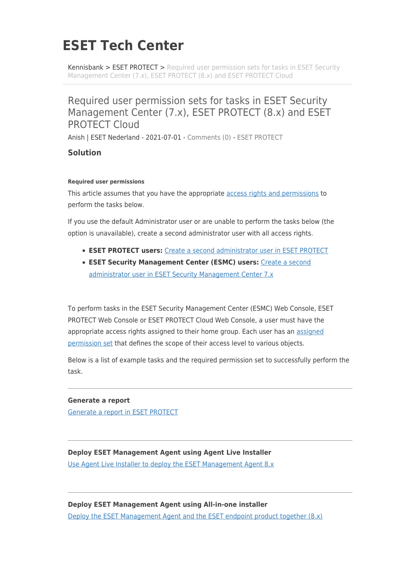# **ESET Tech Center**

[Kennisbank](https://techcenter.eset.nl/nl/kb) > [ESET PROTECT](https://techcenter.eset.nl/nl/kb/eset-protect) > [Required user permission sets for tasks in ESET Security](https://techcenter.eset.nl/nl/kb/articles/required-user-permission-sets-for-tasks-in-eset-security-management-center-7-x-eset-protect-8-) [Management Center \(7.x\), ESET PROTECT \(8.x\) and ESET PROTECT Cloud](https://techcenter.eset.nl/nl/kb/articles/required-user-permission-sets-for-tasks-in-eset-security-management-center-7-x-eset-protect-8-)

## Required user permission sets for tasks in ESET Security Management Center (7.x), ESET PROTECT (8.x) and ESET PROTECT Cloud

Anish | ESET Nederland - 2021-07-01 - [Comments \(0\)](#page--1-0) - [ESET PROTECT](https://techcenter.eset.nl/nl/kb/eset-protect)

## **Solution**

### **Required user permissions**

This article assumes that you have the appropriate [access rights and permissions](https://support.eset.com/en/kb6968) to perform the tasks below.

If you use the default Administrator user or are unable to perform the tasks below (the option is unavailable), create a second administrator user with all access rights.

- **ESET PROTECT users:** [Create a second administrator user in ESET PROTECT](https://support.eset.com/en/kb7832)
- **ESET Security Management Center (ESMC) users:** [Create a second](https://support.eset.com/en/kb6778) [administrator user in ESET Security Management Center 7.x](https://support.eset.com/en/kb6778)

To perform tasks in the ESET Security Management Center (ESMC) Web Console, ESET PROTECT Web Console or ESET PROTECT Cloud Web Console, a user must have the appropriate access rights [assigned](https://help.eset.com/protect_admin/latest/en-US/admin_ar_assign_user_a_permission_set.html) to their home group. Each user has an assigned [permission set](https://help.eset.com/protect_admin/latest/en-US/admin_ar_permissions_sets.html) that defines the scope of their access level to various objects.

Below is a list of example tasks and the required permission set to successfully perform the task.

## **Generate a report**

[Generate a report in ESET PROTECT](https://support.eset.com/en/kb7817-generate-a-report-in-eset-protect)

## **Deploy ESET Management Agent using Agent Live Installer**

[Use Agent Live Installer to deploy the ESET Management Agent 8.x](https://support.eset.com/en/kb7722-use-agent-live-installer-to-deploy-the-eset-management-agent-80)

#### **Deploy ESET Management Agent using All-in-one installer**

[Deploy the ESET Management Agent and the ESET endpoint product together \(8.x\)](https://support.eset.com/en/kb7730-deploy-the-eset-management-agent-and-the-eset-endpoint-product-together-8x)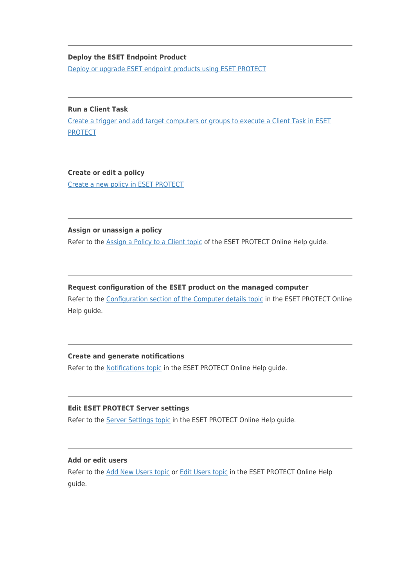## **Deploy the ESET Endpoint Product**

[Deploy or upgrade ESET endpoint products using ESET PROTECT](https://support.eset.com/en/kb7654-deploy-or-upgrade-eset-endpoint-products-using-eset-protect-80)

## **Run a Client Task** [Create a trigger and add target computers or groups to execute a Client Task in ESET](https://support.eset.com/en/kb7816-create-a-trigger-and-add-target-computers-or-groups-to-execute-a-client-task-in-eset-protect) [PROTECT](https://support.eset.com/en/kb7816-create-a-trigger-and-add-target-computers-or-groups-to-execute-a-client-task-in-eset-protect)

## **Create or edit a policy**

[Create a new policy in ESET PROTECT](https://support.eset.com/en/kb7824-create-a-new-policy-in-eset-protect)

**Assign or unassign a policy** Refer to the [Assign a Policy to a Client topic](https://help.eset.com/protect_admin/latest/en-US/admin_pol_assign_policy_to_client.html) of the ESET PROTECT Online Help guide.

### **Request configuration of the ESET product on the managed computer**

Refer to the [Configuration section of the Computer details topic](https://help.eset.com/protect_admin/latest/en-US/computer_details.html#config) in the ESET PROTECT Online Help guide.

#### **Create and generate notifications**

Refer to the **Notifications topic** in the ESET PROTECT Online Help guide.

## **Edit ESET PROTECT Server settings**

Refer to the [Server Settings topic](https://help.eset.com/protect_admin/latest/en-US/admin_server_settings.html) in the ESET PROTECT Online Help guide.

#### **Add or edit users**

Refer to the [Add New Users topic](https://help.eset.com/protect_admin/latest/en-US/admin_user_management_add_users.html) or [Edit Users topic](https://help.eset.com/protect_admin/latest/en-US/admin_user_management_edit_users.html) in the ESET PROTECT Online Help guide.